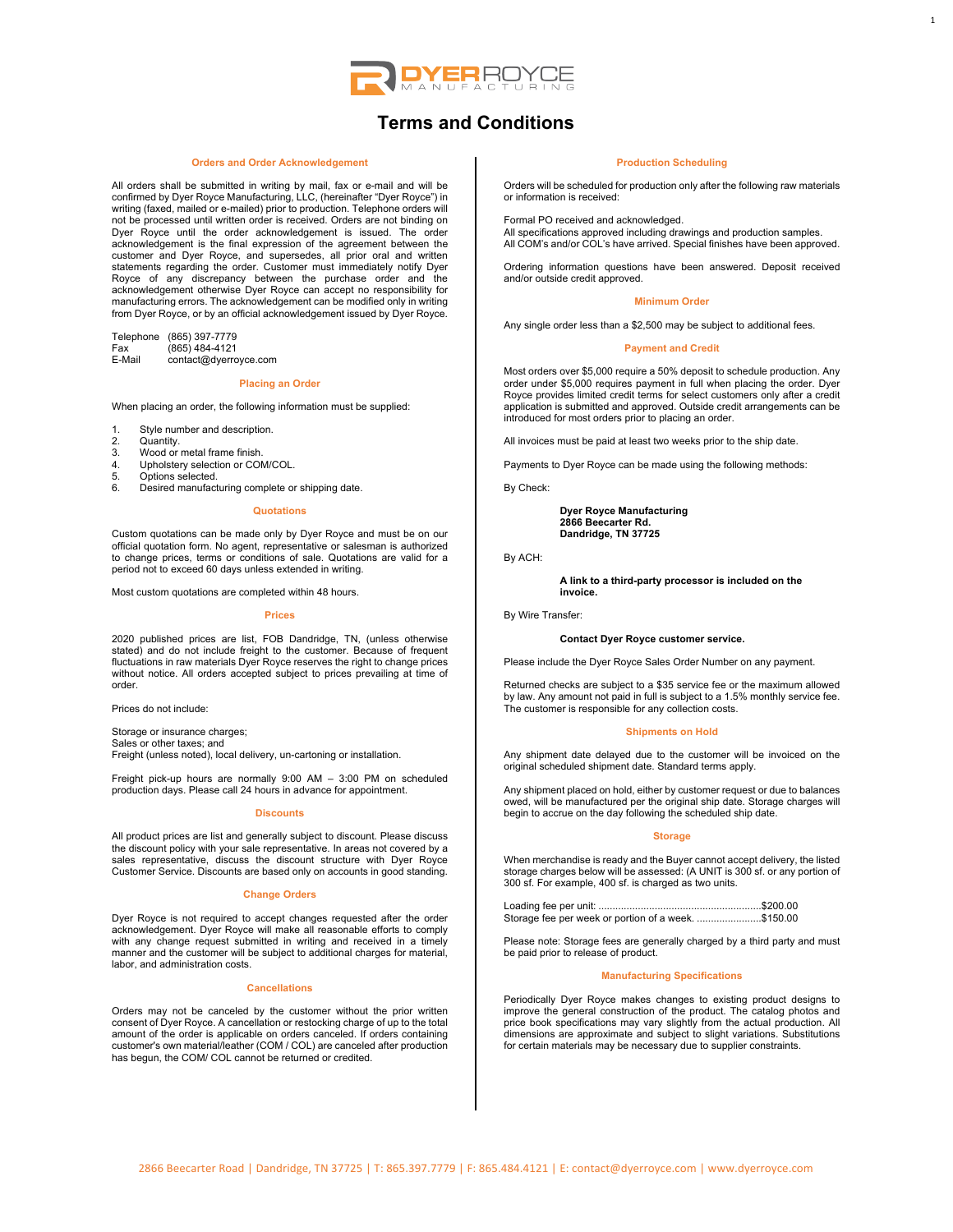

# **Terms and Conditions**

#### **Orders and Order Acknowledgement**

All orders shall be submitted in writing by mail, fax or e-mail and will be confirmed by Dyer Royce Manufacturing, LLC, (hereinafter "Dyer Royce") in writing (faxed, mailed or e-mailed) prior to production. Telephone orders will not be processed until written order is received. Orders are not binding on Dyer Royce until the order acknowledgement is issued. The order acknowledgement is the final expression of the agreement between the customer and Dyer Royce, and supersedes, all prior oral and written statements regarding the order. Customer must immediately notify Dyer Royce of any discrepancy between the purchase order and the acknowledgement otherwise Dyer Royce can accept no responsibility for manufacturing errors. The acknowledgement can be modified only in writing from Dyer Royce, or by an official acknowledgement issued by Dyer Royce.

Telephone (865) 397-7779<br>Fax (865) 484-4121 Fax (865) 484-4121<br>E-Mail contact@dyerro contact@dyerroyce.com

#### **Placing an Order**

When placing an order, the following information must be supplied:

- 1. Style number and description.
- 2. Quantity.<br>3. Wood or
- 2. Sudding.<br>3. Wood or metal frame finish.<br>4. Unholstery selection or COM
- 4. Upholstery selection or COM/COL.<br>5. Options selected.
- 5. Options selected.
- 6. Desired manufacturing complete or shipping date.

## **Quotations**

Custom quotations can be made only by Dyer Royce and must be on our official quotation form. No agent, representative or salesman is authorized to change prices, terms or conditions of sale. Quotations are valid for a period not to exceed 60 days unless extended in writing.

Most custom quotations are completed within 48 hours.

#### **Prices**

2020 published prices are list, FOB Dandridge, TN, (unless otherwise stated) and do not include freight to the customer. Because of frequent fluctuations in raw materials Dyer Royce reserves the right to change prices without notice. All orders accepted subject to prices prevailing at time of order.

Prices do not include:

Storage or insurance charges; Sales or other taxes; and Freight (unless noted), local delivery, un-cartoning or installation.

Freight pick-up hours are normally 9:00 AM – 3:00 PM on scheduled production days. Please call 24 hours in advance for appointment.

## **Discounts**

All product prices are list and generally subject to discount. Please discuss the discount policy with your sale representative. In areas not covered by a sales representative, discuss the discount structure with Dyer Royce Customer Service. Discounts are based only on accounts in good standing.

## **Change Orders**

Dyer Royce is not required to accept changes requested after the order acknowledgement. Dyer Royce will make all reasonable efforts to comply with any change request submitted in writing and received in a timely manner and the customer will be subject to additional charges for material, labor, and administration costs.

#### **Cancellations**

Orders may not be canceled by the customer without the prior written consent of Dyer Royce. A cancellation or restocking charge of up to the total amount of the order is applicable on orders canceled. If orders containing customer's own material/leather (COM / COL) are canceled after production has begun, the COM/ COL cannot be returned or credited.

#### **Production Scheduling**

1

Orders will be scheduled for production only after the following raw materials or information is received:

Formal PO received and acknowledged. All specifications approved including drawings and production samples. All COM's and/or COL's have arrived. Special finishes have been approved.

Ordering information questions have been answered. Deposit received and/or outside credit approved.

## **Minimum Order**

Any single order less than a \$2,500 may be subject to additional fees.

## **Payment and Credit**

Most orders over \$5,000 require a 50% deposit to schedule production. Any order under \$5,000 requires payment in full when placing the order. Dyer Royce provides limited credit terms for select customers only after a credit application is submitted and approved. Outside credit arrangements can be introduced for most orders prior to placing an order.

All invoices must be paid at least two weeks prior to the ship date.

Payments to Dyer Royce can be made using the following methods:

By Check:

**Dyer Royce Manufacturing 2866 Beecarter Rd. Dandridge, TN 37725**

By ACH:

**A link to a third-party processor is included on the invoice.**

## By Wire Transfer:

## **Contact Dyer Royce customer service.**

Please include the Dyer Royce Sales Order Number on any payment.

Returned checks are subject to a \$35 service fee or the maximum allowed by law. Any amount not paid in full is subject to a 1.5% monthly service fee. The customer is responsible for any collection costs.

## **Shipments on Hold**

Any shipment date delayed due to the customer will be invoiced on the original scheduled shipment date. Standard terms apply.

Any shipment placed on hold, either by customer request or due to balances owed, will be manufactured per the original ship date. Storage charges will begin to accrue on the day following the scheduled ship date.

#### **Storage**

When merchandise is ready and the Buyer cannot accept delivery, the listed storage charges below will be assessed: (A UNIT is 300 sf. or any portion of 300 sf. For example, 400 sf. is charged as two units.

| Storage fee per week or portion of a week. \$150.00 |  |
|-----------------------------------------------------|--|

Please note: Storage fees are generally charged by a third party and must be paid prior to release of product.

## **Manufacturing Specifications**

Periodically Dyer Royce makes changes to existing product designs to improve the general construction of the product. The catalog photos and price book specifications may vary slightly from the actual production. All dimensions are approximate and subject to slight variations. Substitutions for certain materials may be necessary due to supplier constraints.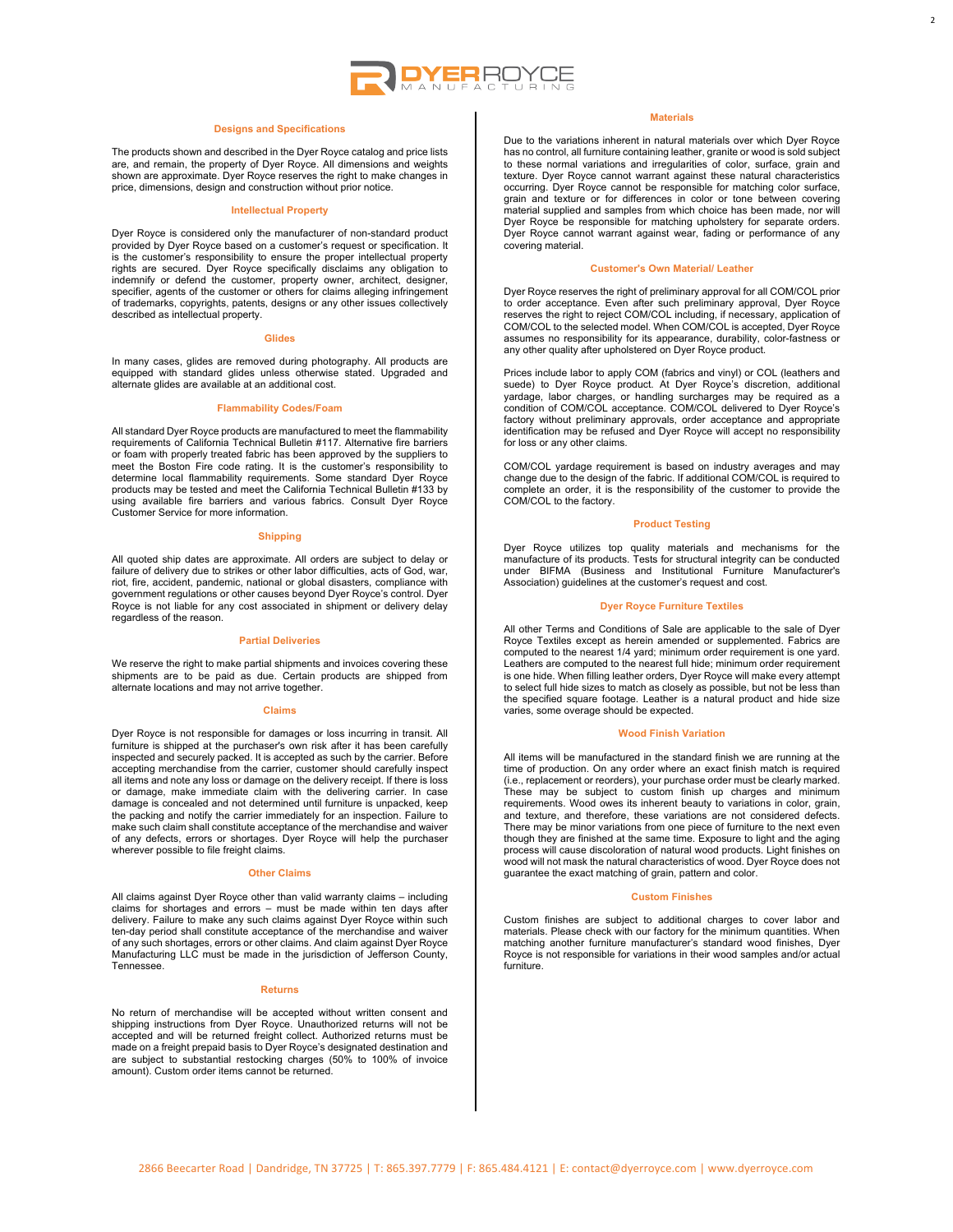

## **Designs and Specifications**

The products shown and described in the Dyer Royce catalog and price lists are, and remain, the property of Dyer Royce. All dimensions and weights shown are approximate. Dyer Royce reserves the right to make changes in price, dimensions, design and construction without prior notice.

#### **Intellectual Property**

Dyer Royce is considered only the manufacturer of non-standard product provided by Dyer Royce based on a customer's request or specification. It is the customer's responsibility to ensure the proper intellectual property<br>rights are secured. Dyer Royce specifically disclaims any obligation to<br>indemnify or defend the customer, property owner, architect, designer, specifier, agents of the customer or others for claims alleging infringement of trademarks, copyrights, patents, designs or any other issues collectively described as intellectual property.

#### **Glides**

In many cases, glides are removed during photography. All products are equipped with standard glides unless otherwise stated. Upgraded and alternate glides are available at an additional cost.

## **Flammability Codes/Foam**

All standard Dyer Royce products are manufactured to meet the flammability requirements of California Technical Bulletin #117. Alternative fire barriers or foam with properly treated fabric has been approved by the suppliers to meet the Boston Fire code rating. It is the customer's responsibility to determine local flammability requirements. Some standard Dyer Royce products may be tested and meet the California Technical Bulletin #133 by using available fire barriers and various fabrics. Consult Dyer Royce Customer Service for more information.

## **Shipping**

All quoted ship dates are approximate. All orders are subject to delay or failure of delivery due to strikes or other labor difficulties, acts of God, war, riot, fire, accident, pandemic, national or global disasters, compliance with government regulations or other causes beyond Dyer Royce's control. Dyer Royce is not liable for any cost associated in shipment or delivery delay regardless of the reason.

## **Partial Deliveries**

We reserve the right to make partial shipments and invoices covering these shipments are to be paid as due. Certain products are shipped from alternate locations and may not arrive together.

#### **Claims**

Dyer Royce is not responsible for damages or loss incurring in transit. All furniture is shipped at the purchaser's own risk after it has been carefully<br>inspected and securely packed. It is accepted as such by the carrier. Before<br>accepting merchandise from the carrier, customer should carefully in all items and note any loss or damage on the delivery receipt. If there is loss or damage, make immediate claim with the delivering carrier. In case damage is concealed and not determined until furniture is unpacked, keep the packing and notify the carrier immediately for an inspection. Failure to make such claim shall constitute acceptance of the merchandise and waiver of any defects, errors or shortages. Dyer Royce will help the purchaser wherever possible to file freight claims.

## **Other Claims**

All claims against Dyer Royce other than valid warranty claims – including claims for shortages and errors – must be made within ten days after delivery. Failure to make any such claims against Dyer Royce within such ten-day period shall constitute acceptance of the merchandise and waiver of any such shortages, errors or other claims. And claim against Dyer Royce Manufacturing LLC must be made in the jurisdiction of Jefferson County, **Tennessee** 

#### **Returns**

No return of merchandise will be accepted without written consent and shipping instructions from Dyer Royce. Unauthorized returns will not be accepted and will be returned freight collect. Authorized returns must be made on a freight prepaid basis to Dyer Royce's designated destination and are subject to substantial restocking charges (50% to 100% of invoice amount). Custom order items cannot be returned.

## **Materials**

2

Due to the variations inherent in natural materials over which Dyer Royce has no control, all furniture containing leather, granite or wood is sold subject to these normal variations and irregularities of color, surface, grain and texture. Dyer Royce cannot warrant against these natural characteristics occurring. Dyer Royce cannot be responsible for matching color surface, grain and texture or for differences in color or tone between covering material supplied and samples from which choice has been made, nor will Dyer Royce be responsible for matching upholstery for separate orders. Dyer Royce cannot warrant against wear, fading or performance of any covering material.

#### **Customer's Own Material/ Leather**

Dyer Royce reserves the right of preliminary approval for all COM/COL prior to order acceptance. Even after such preliminary approval, Dyer Royce reserves the right to reject COM/COL including, if necessary, application of COM/COL to the selected model. When COM/COL is accepted, Dyer Royce assumes no responsibility for its appearance, durability, color-fastness or any other quality after upholstered on Dyer Royce product.

Prices include labor to apply COM (fabrics and vinyl) or COL (leathers and suede) to Dyer Royce product. At Dyer Royce's discretion, additional yardage, labor charges, or handling surcharges may be required as a condition of COM/COL acceptance. COM/COL delivered to Dyer Royce's factory without preliminary approvals, order acceptance and appropriate identification may be refused and Dyer Royce will accept no responsibility for loss or any other claims.

COM/COL yardage requirement is based on industry averages and may change due to the design of the fabric. If additional COM/COL is required to complete an order, it is the responsibility of the customer to provide the COM/COL to the factory.

## **Product Testing**

Dyer Royce utilizes top quality materials and mechanisms for the manufacture of its products. Tests for structural integrity can be conducted under BIFMA (Business and Institutional Furniture Manufacturer's Association) guidelines at the customer's request and cost.

## **Dyer Royce Furniture Textiles**

All other Terms and Conditions of Sale are applicable to the sale of Dyer Royce Textiles except as herein amended or supplemented. Fabrics are computed to the nearest 1/4 yard; minimum order requirement is one yard. Leathers are computed to the nearest full hide; minimum order requirement is one hide. When filling leather orders, Dyer Royce will make every attempt to select full hide sizes to match as closely as possible, but not be less than the specified square footage. Leather is a natural product and hide size varies, some overage should be expected.

#### **Wood Finish Variation**

All items will be manufactured in the standard finish we are running at the time of production. On any order where an exact finish match is required (i.e., replacement or reorders), your purchase order must be clearly marked. These may be subject to custom finish up charges and minimum requirements. Wood owes its inherent beauty to variations in color, grain, and texture, and therefore, these variations are not considered defects. There may be minor variations from one piece of furniture to the next even though they are finished at the same time. Exposure to light and the aging process will cause discoloration of natural wood products. Light finishes on wood will not mask the natural characteristics of wood. Dyer Royce does not guarantee the exact matching of grain, pattern and color.

#### **Custom Finishes**

Custom finishes are subject to additional charges to cover labor and materials. Please check with our factory for the minimum quantities. When matching another furniture manufacturer's standard wood finishes, Dyer Royce is not responsible for variations in their wood samples and/or actual furniture.